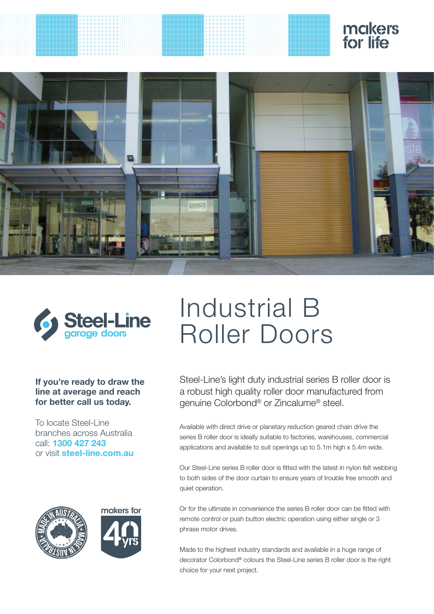





# Industrial B Roller Doors

**If you're ready to draw the line at average and reach for better call us today.**

To locate Steel-Line branches across Australia call: **1300 427 243**  or visit **steel-line.com.au**





Steel-Line's light duty industrial series B roller door is a robust high quality roller door manufactured from genuine Colorbond® or Zincalume® steel.

Available with direct drive or planetary reduction geared chain drive the series B roller door is ideally suitable to factories, warehouses, commercial applications and available to suit openings up to 5.1m high x 5.4m wide.

Our Steel-Line series B roller door is fitted with the latest in nylon felt webbing to both sides of the door curtain to ensure years of trouble free smooth and quiet operation.

Or for the ultimate in convenience the series B roller door can be fitted with remote control or push button electric operation using either single or 3 phrase motor drives.

Made to the highest industry standards and available in a huge range of decorator Colorbond® colours the Steel-Line series B roller door is the right choice for your next project.